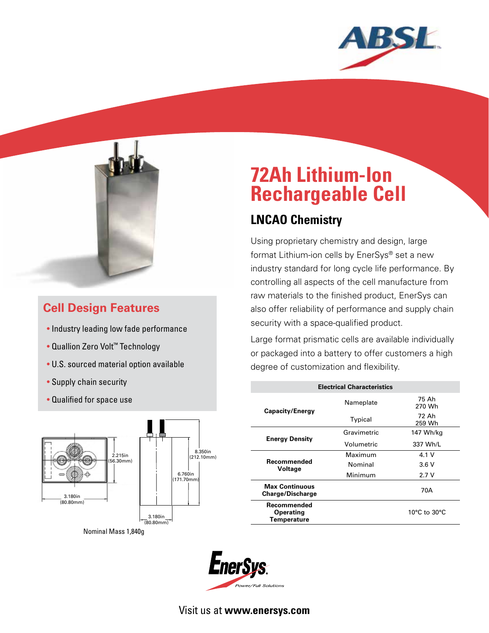



### **Cell Design Features**

- Industry leading low fade performance
- Quallion Zero Volt™ Technology
- U.S. sourced material option available
- Supply chain security
- Qualified for space use



Nominal Mass 1,840g

# **72Ah Lithium-Ion Rechargeable Cell**

## **LNCAO Chemistry**

Using proprietary chemistry and design, large format Lithium-ion cells by EnerSys® set a new industry standard for long cycle life performance. By controlling all aspects of the cell manufacture from raw materials to the finished product, EnerSys can also offer reliability of performance and supply chain security with a space-qualified product.

Large format prismatic cells are available individually or packaged into a battery to offer customers a high degree of customization and flexibility.

| <b>Electrical Characteristics</b>                     |             |                 |
|-------------------------------------------------------|-------------|-----------------|
| <b>Capacity/Energy</b>                                | Nameplate   | 75 Ah<br>270 Wh |
|                                                       | Typical     | 72 Ah<br>259 Wh |
| <b>Energy Density</b>                                 | Gravimetric | 147 Wh/kg       |
|                                                       | Volumetric  | 337 Wh/L        |
| Recommended<br>Voltage                                | Maximum     | 4.1V            |
|                                                       | Nominal     | 3.6V            |
|                                                       | Minimum     | 2.7V            |
| <b>Max Continuous</b><br><b>Charge/Discharge</b>      |             | 70A             |
| Recommended<br><b>Operating</b><br><b>Temperature</b> |             | 10°C to 30°C    |